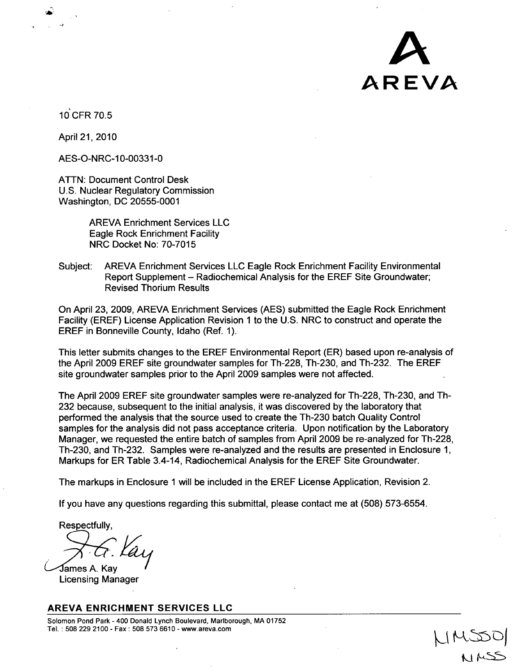

10CFR 70.5

April 21, 2010

AES-O-NRC-10-00331-0

ATTN: Document Control Desk U.S. Nuclear Regulatory Commission Washington, DC 20555-0001

> AREVA Enrichment Services LLC Eagle Rock Enrichment Facility NRC Docket No: 70-7015

Subject: AREVA Enrichment Services LLC Eagle Rock Enrichment Facility Environmental Report Supplement - Radiochemical Analysis for the EREF Site Groundwater; Revised Thorium Results

On April 23, 2009, AREVA Enrichment Services (AES) submitted the Eagle Rock Enrichment Facility (EREF) License Application Revision 1 to the U.S. NRC to construct and operate the EREF in Bonneville County, Idaho (Ref. 1).

This letter submits changes to the EREF Environmental Report (ER) based upon re-analysis of the April 2009 EREF site groundwater samples for Th-228, Th-230, and Th-232. The EREF site groundwater samples prior to the April 2009 samples were not affected.

The April 2009 EREF site groundwater samples were re-analyzed for Th-228, Th-230, and Th-232 because, subsequent to the initial analysis, it was discovered by the laboratory that performed the analysis that the source used to create the Th-230 batch Quality Control samples for the analysis did not pass acceptance criteria. Upon notification by the Laboratory Manager, we requested the entire batch of samples from April 2009 be re-analyzed for Th-228, Th-230, and Th-232. Samples were re-analyzed and the results are presented in Enclosure **1,** Markups for ER Table 3.4-14, Radiochemical Analysis for the EREF Site Groundwater.

The markups in Enclosure 1 will be included in the EREF License Application, Revision 2.

If you have any questions regarding this submittal, please contact me at (508),573-6554.

Respectfully,

James A. Kav Licensing Manager

#### AREVA **ENRICHMENT SERVICES LLC**

Solomon Pond Park - 400 Donald Lynch Boulevard, Marlborough, MA 01752 Tel. :508 229 2100- Fax: 508 573 6610 - www.areva.com .

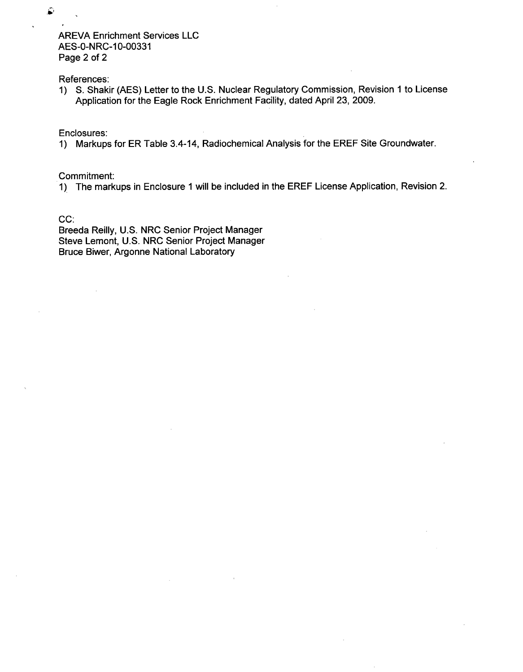AREVA Enrichment Services LLC AES-0-NRC-10-00331 Page 2 of 2

References:

1) S. Shakir (AES) Letter to the U.S. Nuclear Regulatory Commission, Revision **1** to License Application for the Eagle Rock Enrichment Facility, dated April 23, 2009.

Enclosures:

1) Markups for ER Table 3.4-14, Radiochemical Analysis for the EREF Site Groundwater.

Commitment:

1) The markups in Enclosure 1 will be included in the EREF License Application, Revision 2.

CC:

Breeda Reilly, U.S. NRC Senior Project Manager Steve Lemont, U.S. NRC Senior Project Manager Bruce Biwer, Argonne National Laboratory

٨

**I**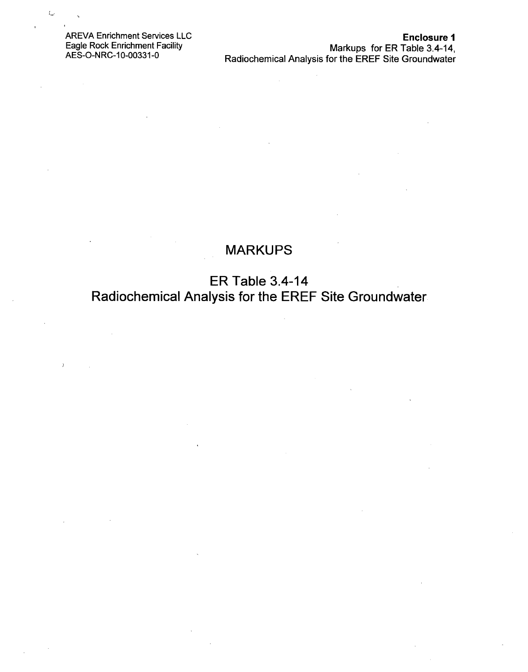AREVA Enrichment Services LLC Eagle Rock Enrichment Facility AES-O-NRC-10-00331-0

 $\mathcal{L}_{\text{max}}$ 

# MARKUPS

ER Table 3.4-14 Radiochemical Analysis for the EREF Site Groundwater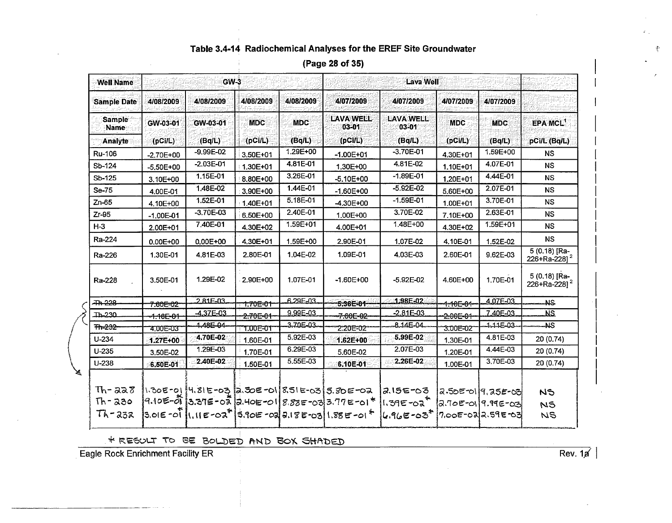|                   |                |            | (Page zo 01 Jo)        |                                      |           |
|-------------------|----------------|------------|------------------------|--------------------------------------|-----------|
| GW-3              |                |            |                        | <b>Lava Well</b>                     |           |
| /08/2009          | 4/08/2009      | 4/08/2009  | 4/07/2009              | 4/07/2009                            | 4/07/2009 |
| W-03-01<br>(Bq/L) | MDC<br>(OCI/L) | (Bq/L)     | LAVA WEIT<br>$03 - 01$ | <b>LAVA WELL</b><br>103-01<br>(Ba/L) | (pCilL)   |
| מח בחח ר          |                | $1.205+00$ |                        | $2.70E$ 01                           |           |

#### $(D_{\text{max}} 98 \text{ s}5 \text{ s})$

| <b>Well Name</b>      |                      | $GW-3$         |                       |            | <b>Lava Well</b>                                                        |                           |                       |                    |                                           |  |  |
|-----------------------|----------------------|----------------|-----------------------|------------|-------------------------------------------------------------------------|---------------------------|-----------------------|--------------------|-------------------------------------------|--|--|
| <b>Sample Date</b>    | 4/08/2009            | 4/08/2009      | 4/08/2009             | 4/08/2009  | 4/07/2009                                                               | 4/07/2009                 | 4/07/2009             | 4/07/2009          |                                           |  |  |
| <b>Sample</b><br>Name | GW-03-01             | GW-03-01       | <b>MDC</b>            | <b>MDC</b> | <b>LAVA WELL</b><br>03-01                                               | <b>LAVA WELL</b><br>03-01 | <b>MDC</b>            | <b>MDC</b>         | <b>EPA MCL'</b>                           |  |  |
| Analyte               | (DCII)               | (Bq/L)         | (pC <sub>i</sub> /L)  | (Bq/L)     | (DCIL)                                                                  | (Bq/L)                    | (pC <sub>II</sub> )   | (Bq/L)             | pCi/L (Bq/L)                              |  |  |
| Ru-106                | $-2.70E+00$          | $-9.99E - 02$  | 3.50E+01              | 1.29E+00   | $-1.00E + 01$                                                           | $-3.70E - 01$             | 4.30E+01              | 1.59E+00           | NS.                                       |  |  |
| Sb-124                | $-5,50E+00$          | $-2.03E-01$    | 1.30E+01              | 4.81E-01   | 1.30E+00                                                                | 4.81E-02                  | 1.10E+01              | 4.07E-01           | <b>NS</b>                                 |  |  |
| Sb-125                | 3.10E+00             | 1.15E-01       | 8.80E+00              | 3.26E-01   | $-5.10E + 00$                                                           | $-1.89E - 01$             | $1,20E+01$            | 4.44E-01           | <b>NS</b>                                 |  |  |
| Se-75                 | 4.00E-01             | 1.48E-02       | 3,90E+00              | 1.44E-01   | $-1.60E + 00$                                                           | $-5.92E - 02$             | 5.60E+00              | 2.07E-01           | <b>NS</b>                                 |  |  |
| $Zn-65$               | 4.10E+00             | 1.52E-01       | 1.40E+01              | 5.18E-01   | $-4.30E + 00$                                                           | $-1.59E - 01$             | 1.00E+01              | 3.70E-01           | <b>NS</b>                                 |  |  |
| $Zr-95$               | $-1.00E - 01$        | $-3.70E - 03$  | 6,50E+00              | 2.40E-01   | 1.00E+00                                                                | 3.70E-02                  | 7.10E+00              | 2.63E-01           | <b>NS</b>                                 |  |  |
| $H-3$                 | 2.00E+01             | 7.40E-01       | 4.30E+02              | 1.59E+01   | 4.00E+01                                                                | 1.48E+00                  | 4.30E+02              | 1.59E+01           | <b>NS</b>                                 |  |  |
| Ra-224                | 0.00E+00             | $0.00E + 00$   | 4.30E+01              | 1.59E+00   | 2.90E-01                                                                | 1.07E-02                  | 4.10E-01              | 1.52E-02           | <b>NS</b>                                 |  |  |
| Ra-226                | 1.30E-01             | 4.81E-03       | 2.80E-01              | 1.04E-02   | 1.09E-01                                                                | 4.03E-03                  | 2.60E-01              | 9.62E-03           | 5 (0.18) [Ra-<br>226+Ra-228] <sup>2</sup> |  |  |
| Ra-228                | 3.50E-01             | 1.29E-02       | 2.90E+00              | 1.07E-01   | $-1.60E+00$                                                             | $-5.92E - 02$             | 4.60E+00              | 1.70E-01           | 5 (0.18) [Ra-<br>226+Ra-228] <sup>2</sup> |  |  |
| <b>Th 228</b>         | <del>7.60E=02*</del> | $2$ $81F - 03$ | <del>-1.70E-01-</del> | 6.29E-03   | $5.36E - 01$                                                            | $-1.98E - 02$             | 1 <del>:10E-01-</del> | 4.07E-03           | <b>NS</b>                                 |  |  |
| <b>Th-230</b>         | 1.16E-01             | $-4.37E - 03$  | <del>2.70E-01-</del>  | 9.99E-03   | 7.60E-02                                                                | $-2.81E - 03$             | 2.00E-01              | 7.40E-03           | <b>NS</b>                                 |  |  |
| Th-232                | 4.00E-03             | 1.48E-04       | 7.00E-01              | 3.70E-03-  | 2.20E=02                                                                | $-8.14E - 04$             | 3.00E=02*             | -1-11E-03          | -NS                                       |  |  |
| $U - 234$             | 1.27E+00             | 4.70E-02       | 1.60E-01              | 5.92E-03   | 1.62E+00                                                                | 5.99E-02                  | 1.30E-01              | 4.81E-03           | 20 (0.74)                                 |  |  |
| $U - 235$             | 3.50E-02             | 1.29E-03       | 1.70E-01              | 6.29E-03   | 5.60E-02                                                                | 2.07E-03                  | 1.20E-01              | 4.44E-03           | 20 (0.74)                                 |  |  |
| U-238                 | 6.50E-01             | 2.40E-02       | 1.50E-01              | 5.55E-03   | 6.10E-01                                                                | 2.26E-02                  | 1.00E-01              | 3.70E-03           | 20 (0.74)                                 |  |  |
|                       |                      |                |                       |            |                                                                         |                           |                       |                    |                                           |  |  |
| $Th - 228$            |                      |                |                       |            | 1.30E-01 4.81E-03 2.30E-01 8.51E-03 5.80E-02                            | 2.15E-03                  |                       | 2.50E-019.25E-03   | N <sub>5</sub>                            |  |  |
| $Th - 230$            |                      |                |                       |            | 9.10E-01 3.37E-02 2.40E-01 8.88E-03 3.77E-01*                           | ∣।.39೯-0२ *               |                       | a.70E-01 9.99E-03  | N <sub>5</sub>                            |  |  |
| $Th-232$              |                      |                |                       |            | $3.016 - 01$ $(1.116 - 02^7)$ $3.106 - 02$ $3.186 - 03)$ $1.886 - 01^4$ | $4.96E - 037$             |                       | !7,00E-02 2.59E-03 | <b>NS</b>                                 |  |  |

\* RESULT TO BE BOLDED AND BOX SHADED

**Eagle Rock Enrichment Facility ER** Rev. 1, Rev. 1, Rev. 1, Rev. 1, Rev. 1, Rev. 1, Rev. 1, Rev. 1, Rev. 1, Rev. 1, Rev. 1, Rev. 1, Rev. 1, Rev. 1, Rev. 1, Rev. 1, Rev. 1, Rev. 1, Rev. 1, Rev. 1, Rev. 1, Rev. 1, Rev. 1, Re

申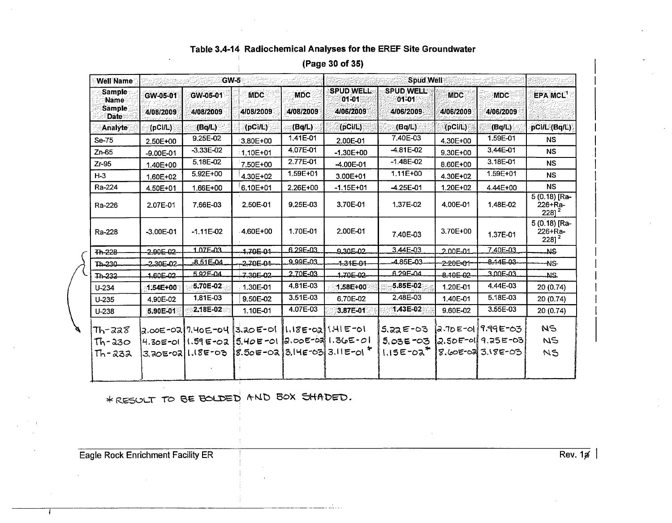| <b>Well Name</b>                                        |                       | GW-5                  |                                                                                                             |                         | <b>Spud Well</b>                        |                                              |                         |                                                                |                                                   |  |  |
|---------------------------------------------------------|-----------------------|-----------------------|-------------------------------------------------------------------------------------------------------------|-------------------------|-----------------------------------------|----------------------------------------------|-------------------------|----------------------------------------------------------------|---------------------------------------------------|--|--|
| <b>Sample</b> :<br>Name<br><b>Sample</b><br><b>Date</b> | GW-05-01<br>4/08/2009 | GW-05-01<br>4/08/2009 | MDC-<br>4/08/2009                                                                                           | <b>MDC</b><br>4/08/2009 | <b>SPUD WELL</b><br>01-01<br>4/06/2009  | <b>SPUD WELL</b><br>01-01<br>4/06/2009       | <b>MDC</b><br>4/06/2009 | <b>MDC</b><br>4/06/2009                                        | EPA MCL <sup>1</sup>                              |  |  |
| <b>Analyte</b>                                          | (pCi/L)               | (Bq/L)                | $[$ (pCi/L) $]$                                                                                             | (Bq/L)                  | (DCII)                                  | (Bq/L)                                       | (PCIL)                  | (Bq/L)                                                         | pCi/L (Bq/L)                                      |  |  |
| Se-75                                                   | 2.50E+00              | 9.25E-02              | 3.80E+00                                                                                                    | 1.41E-01                | 2.00E-01                                | 7.40E-03                                     | 4.30E+00                | 1.59E-01                                                       | <b>NS</b>                                         |  |  |
| $Zn-65$                                                 | $-9.00E - 01$         | $-3.33E - 02$         | 1.10E+01                                                                                                    | 4.07E-01                | $-1.30E+00$                             | $-4.81E - 02$                                | 9.30E+00                | 3.44E-01                                                       | <b>NS</b>                                         |  |  |
| $Zr-95$                                                 | 1.40E+00              | 5.18E-02              | 7.50E+00                                                                                                    | 2.77E-01                | -4.00E-01                               | $-1.48E - 02$                                | 8.60E+00                | 3.18E-01                                                       | NS.                                               |  |  |
| $H-3$                                                   | 1.60E+02              | 5.92E+00              | 4.30E+02                                                                                                    | 1.59E+01                | 3.00E+01                                | 1.11E+00                                     | 4.30E+02                | 1.59E+01                                                       | <b>NS</b>                                         |  |  |
| Ra-224                                                  | 4.50E+01              | 1.66E+00              | 6.10E+01                                                                                                    | 2.26E+00                | $-1.15E + 01$                           | $-4.25E - 01$                                | 1.20E+02                | 4.44E+00                                                       | <b>NS</b>                                         |  |  |
| Ra-226                                                  | 2.07E-01              | 7.66E-03              | 2.50E-01                                                                                                    | 9.25E-03                | 3.70E-01                                | 1.37E-02                                     | 4.00E-01                | 1.48E-02                                                       | $5(0.18)$ [Ra-<br>226+Ra-<br>$228$ ] <sup>2</sup> |  |  |
| Ra-228                                                  | $-3.00E - 01$         | $-1.11E - 02$         | 4.60E+00                                                                                                    | 1.70E-01                | 2.00E-01                                | 7.40E-03                                     | 3.70E+00                | 1.37E-01                                                       | 5 (0.18) [Ra-<br>226+Ra-<br>$228$ ] <sup>2</sup>  |  |  |
| Th-228                                                  | $2.90E-02$            | 1.07F-03              | $1,70F-01$                                                                                                  | 6.29E-03                | $9.305 - 02$                            | 3.44E-03                                     | $2.00E - 01$            | 7.40E-03                                                       | <b>NS</b>                                         |  |  |
| Th-230-                                                 | 2.30E-02              | $-8.51E - 04$         | $-2.70E - 0.1 -$                                                                                            | 9.99E-03                | $-1.34E-04$                             | 4.85E-03                                     | 2.20E=01-               | $-8.14E - 03$                                                  | -NS-                                              |  |  |
| Th-232                                                  | 160E-02               | 5.92E-04              | 7.30E-02-                                                                                                   | 2.70E-03                | 1.70E-02                                | 6.29F-04                                     | 8.10E-02                | 3.00E-03                                                       | -NS.                                              |  |  |
| $U - 234$                                               | <b>1:54E+00</b>       | $5.70E - 02$          | 1.30E-01                                                                                                    | 4.81E-03                | 1.58E+00                                | $-5.85E - 02$                                | 1.20E-01                | 4.44E-03                                                       | 20(0.74)                                          |  |  |
| $U - 235$                                               | 4.90E-02              | 1.81E-03              | 9.50E-02                                                                                                    | 3.51E-03                | 6.70E-02                                | 2.48E-03                                     | 1.40E-01                | 5.18E-03                                                       | 20 (0.74)                                         |  |  |
| $U - 238$                                               | 5.90E-01              | 2.18E-02              | 1.10E-01                                                                                                    | 4.07E-03                | 3.87E-01                                | 1,43E-02                                     | 9.60E-02                | 3.55E-03                                                       | 20 (0.74)                                         |  |  |
| Th-228<br>$Th-330$<br>Th-232                            |                       | 3.202-02 1.182-03     | a.coE-0a  7.40E-04   3.a0E-01   1.18E-0a  1.41E-01<br> 4.30E-01   1.59 E-02   5.40E-01   2.00E-03  1.36E-01 |                         | 8.50E-02 3.14E-03 3.11E-01 <sup>*</sup> | $5.22E - 03$<br>$5.03E - 03$<br>$1.15E-02^3$ |                         | ia.70E-01 9.99E-03<br>$2.50E-0119.25E-03$<br>8.60E-02 3.18E-03 | <b>NS</b><br>NS<br>NS                             |  |  |
|                                                         |                       |                       |                                                                                                             |                         |                                         |                                              |                         |                                                                |                                                   |  |  |

(Page 30 of 35)

\* RESULT TO BE BOLDED AND BOX SHADED.

Eagle Rock Enrichment Facility ER

Rev.  $1/4$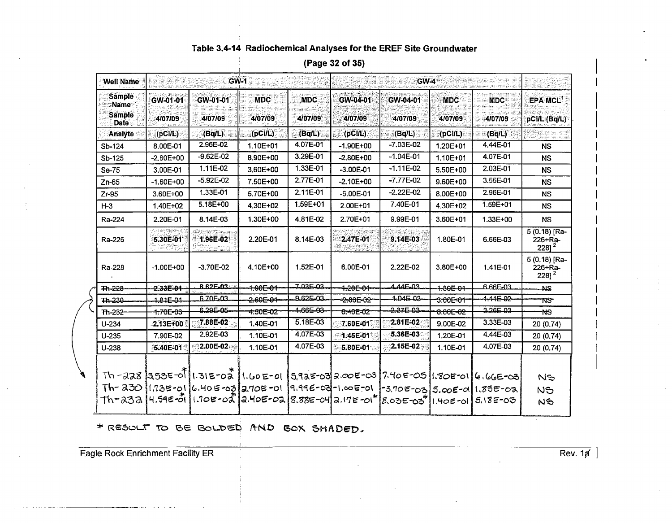| <b>Well Name</b>                                       | <b>GW-1</b>         |                                                                    |                       |                    |                        |                                                                                   |                       |                       |                                                       |
|--------------------------------------------------------|---------------------|--------------------------------------------------------------------|-----------------------|--------------------|------------------------|-----------------------------------------------------------------------------------|-----------------------|-----------------------|-------------------------------------------------------|
| <b>Sample</b><br>∵Name<br><b>Sample</b><br><b>Date</b> | GW-01-01<br>4/07/09 | GW-01-01<br>4/07/09                                                | <b>MDC</b><br>4/07/09 | MDC<br>4/07/09     | GW-04-01<br>4/07/09    | GW-04-01<br>4/07/09                                                               | <b>MDC</b><br>4/07/09 | <b>MDC</b><br>4/07/09 | EPA MCL <sup>1</sup><br>pCi/L (Bq/L)                  |
| <b>Analyte</b>                                         | (DCII)              | (Bq/L)                                                             | (DCUL)                | (Bq/L)             | (pCI/L)                | (Bq/L)                                                                            | (DCI/L)               | (Bq/L)                |                                                       |
| Sb-124                                                 | 8.00E-01            | 2.96E-02                                                           | 1.10E+01              | 4.07E-01           | $-1.90E + 00$          | $-7.03E - 02$                                                                     | 1.20E+01              | 4.44E-01              | <b>NS</b>                                             |
| Sb-125                                                 | $-2.60E+00$         | $-9.62E - 02$                                                      | 8.90E+00              | 3.29E-01           | $-2.80E+00$            | $-1.04E - 01$                                                                     | 1.10E+01              | 4.07E-01              | <b>NS</b>                                             |
| Se-75                                                  | 3.00E-01            | 1.11E-02                                                           | 3.60E+00              | 1.33E-01           | $-3.00E - 01$          | $-1.11E-02$                                                                       | $5.50E+00$            | 2.03E-01              | <b>NS</b>                                             |
| $Zn-65$                                                | $-1.60E + 00$       | $-5.92E - 02$                                                      | 7.50E+00              | 2.77E-01           | $-2.10E+00$            | $-7.77E-02$                                                                       | $9.60E + 00$          | 3.55E-01              | <b>NS</b>                                             |
| $Zr-95$                                                | $3.60E + 00$        | 1.33E-01                                                           | 5.70E+00              | 2.11E-01           | $-6.00E - 01$          | $-2.22E - 02$                                                                     | 8.00E+00              | 2.96E-01              | <b>NS</b>                                             |
| $H-3$                                                  | 1.40E+02            | 5.18E+00                                                           | 4.30E+02              | 1.59E+01           | 2.00E+01               | 7.40E-01                                                                          | 4.30E+02              | 1.59E+01              | <b>NS</b>                                             |
| Ra-224                                                 | 2.20E-01            | 8.14E-03                                                           | 1.30E+00              | 4.81E-02           | 2.70E+01               | 9.99E-01                                                                          | 3.60E+01              | $1.33E + 00$          | <b>NS</b>                                             |
| Ra-226                                                 | 5.30E-01            | 1.96E-02                                                           | 2.20E-01              | 8.14E-03           | 2.47E-01               | 9.14E-03                                                                          | 1.80E-01              | 6.66E-03              | $5(0.18)$ [Ra-<br>$226 + Ra -$<br>$2281^2$            |
| Ra-228                                                 | $-1.00E + 00$       | $-3.70E - 02$                                                      | 4.10E+00              | 1.52E-01           | 6.00E-01               | 2.22E-02                                                                          | $3.80E + 00$          | 1.41E-01              | 5 (0.18) [Ra-<br>$226 + Ra -$<br>$228$ ] <sup>2</sup> |
| <b>Th-228-</b>                                         | $-2.33E - 0.1$      | 8.62E-03                                                           | <del>1.90E-01</del>   | Z03E-03            | 4.20E-04-              | $AAAE-03$                                                                         | $-80501$              | 6.66E-03              | <b>AS</b>                                             |
| $7h-230$                                               | 181E-01             | 6.70F-03                                                           | $-2.60E - 04$         | 9.62E-03-          | - <del>2.80E-02-</del> | $1-04E-03$                                                                        | 3.00E=01              | $-4 - 44E - 02 -$     | <b>NS</b>                                             |
| Th-232                                                 | <del>1.70E=03</del> | $6.29 - 05$                                                        | 4.50E=02              | <del>166E 03</del> | 6.40E-02               | 237503                                                                            | 8.80E=02              | $3.26E-03$            | <b>NS</b>                                             |
| $U-234$                                                | 2.13E+00            | 7.88E-02                                                           | 1.40E-01              | 5.18E-03           | 7.60E-01               | 2.81E-02                                                                          | 9.00E-02              | 3.33E-03              | 20 (0.74)                                             |
| $U-235$                                                | 7.90E-02            | 2.92E-03                                                           | 1.10E-01              | 4.07E-03           | 1.45E-01               | 5.36E-03                                                                          | 1.20E-01              | 4.44E-03              | 20(0.74)                                              |
| $U-238$                                                | 5.40E-01            | 2.00E-02                                                           | 1.10E-01              | 4.07E-03           | 5.80E-01               | 2.15E-02                                                                          | 1.10E-01              | 4.07E-03              | 20 (0.74)                                             |
|                                                        |                     |                                                                    |                       |                    |                        | Th -228 1353E-011.31E-02 1.60E-01 5.92E-03 2.00E-03 7.40E-05 1.80E-01 6.66E-03    |                       |                       | NS                                                    |
|                                                        |                     |                                                                    |                       |                    |                        | Th-230 11.73E-01 6.40E-03 2.70E-01 19.99E-03-1.00E-01 -3.70E-03 5.00E-01 1.85E-02 |                       |                       | NS                                                    |
|                                                        |                     | Th-232  4.59E-01  1.10E-02  2.40E-02  8.88E-04 2.17E-01* 8.03E-03* |                       |                    |                        |                                                                                   | 11.40E-01             | $5.18E - 0.3$         | NS                                                    |

(Page 32 of 35)

\* RESULT TO BE BOLDED AND BOX SHADED.

Eagle Rock Enrichment Facility ER

 $\overline{Rev. 1p}$